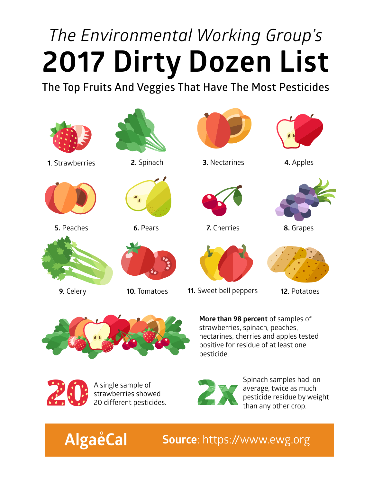## *The Environmental Working Group's*  **2017 Dirty Dozen List**

**The Top Fruits And Veggies That Have The Most Pesticides**





**More than 98 percent** of samples of strawberries, spinach, peaches, nectarines, cherries and apples tested positive for residue of at least one pesticide.



**AlgaeCal** 

A single sample of strawberries showed 20 different pesticides.



Spinach samples had, on average, twice as much pesticide residue by weight than any other crop.

**Source**: https://www.ewg.org